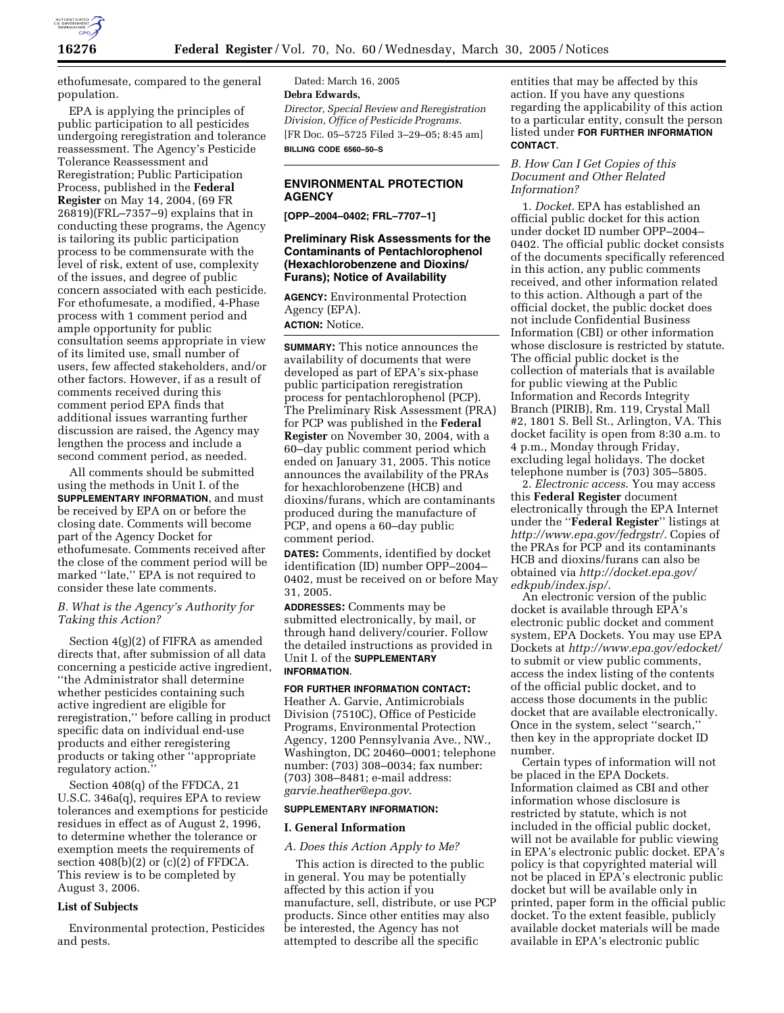

ethofumesate, compared to the general population.

EPA is applying the principles of public participation to all pesticides undergoing reregistration and tolerance reassessment. The Agency's Pesticide Tolerance Reassessment and Reregistration; Public Participation Process, published in the **Federal Register** on May 14, 2004, (69 FR 26819)(FRL–7357–9) explains that in conducting these programs, the Agency is tailoring its public participation process to be commensurate with the level of risk, extent of use, complexity of the issues, and degree of public concern associated with each pesticide. For ethofumesate, a modified, 4-Phase process with 1 comment period and ample opportunity for public consultation seems appropriate in view of its limited use, small number of users, few affected stakeholders, and/or other factors. However, if as a result of comments received during this comment period EPA finds that additional issues warranting further discussion are raised, the Agency may lengthen the process and include a second comment period, as needed.

All comments should be submitted using the methods in Unit I. of the **SUPPLEMENTARY INFORMATION**, and must be received by EPA on or before the closing date. Comments will become part of the Agency Docket for ethofumesate. Comments received after the close of the comment period will be marked ''late,'' EPA is not required to consider these late comments.

## *B. What is the Agency's Authority for Taking this Action?*

Section 4(g)(2) of FIFRA as amended directs that, after submission of all data concerning a pesticide active ingredient, ''the Administrator shall determine whether pesticides containing such active ingredient are eligible for reregistration,'' before calling in product specific data on individual end-use products and either reregistering products or taking other ''appropriate regulatory action.

Section 408(q) of the FFDCA, 21 U.S.C. 346a(q), requires EPA to review tolerances and exemptions for pesticide residues in effect as of August 2, 1996, to determine whether the tolerance or exemption meets the requirements of section  $408(b)(2)$  or  $(c)(2)$  of FFDCA. This review is to be completed by August 3, 2006.

# **List of Subjects**

Environmental protection, Pesticides and pests.

Dated: March 16, 2005 **Debra Edwards,** *Director, Special Review and Reregistration Division, Office of Pesticide Programs.* [FR Doc. 05–5725 Filed 3–29–05; 8:45 am] **BILLING CODE 6560–50–S**

# **ENVIRONMENTAL PROTECTION AGENCY**

**[OPP–2004–0402; FRL–7707–1]**

# **Preliminary Risk Assessments for the Contaminants of Pentachlorophenol (Hexachlorobenzene and Dioxins/ Furans); Notice of Availability**

**AGENCY:** Environmental Protection Agency (EPA).

# **ACTION:** Notice.

**SUMMARY:** This notice announces the availability of documents that were developed as part of EPA's six-phase public participation reregistration process for pentachlorophenol (PCP). The Preliminary Risk Assessment (PRA) for PCP was published in the **Federal Register** on November 30, 2004, with a 60–day public comment period which ended on January 31, 2005. This notice announces the availability of the PRAs for hexachlorobenzene (HCB) and dioxins/furans, which are contaminants produced during the manufacture of PCP, and opens a 60–day public comment period.

**DATES:** Comments, identified by docket identification (ID) number OPP–2004– 0402, must be received on or before May 31, 2005.

**ADDRESSES:** Comments may be submitted electronically, by mail, or through hand delivery/courier. Follow the detailed instructions as provided in Unit I. of the **SUPPLEMENTARY INFORMATION**.

# **FOR FURTHER INFORMATION CONTACT:**

Heather A. Garvie, Antimicrobials Division (7510C), Office of Pesticide Programs, Environmental Protection Agency, 1200 Pennsylvania Ave., NW., Washington, DC 20460–0001; telephone number: (703) 308–0034; fax number: (703) 308–8481; e-mail address: *garvie.heather@epa.gov*.

### **SUPPLEMENTARY INFORMATION:**

# **I. General Information**

#### *A. Does this Action Apply to Me?*

This action is directed to the public in general. You may be potentially affected by this action if you manufacture, sell, distribute, or use PCP products. Since other entities may also be interested, the Agency has not attempted to describe all the specific

entities that may be affected by this action. If you have any questions regarding the applicability of this action to a particular entity, consult the person listed under **FOR FURTHER INFORMATION CONTACT**.

## *B. How Can I Get Copies of this Document and Other Related Information?*

1. *Docket*. EPA has established an official public docket for this action under docket ID number OPP–2004– 0402. The official public docket consists of the documents specifically referenced in this action, any public comments received, and other information related to this action. Although a part of the official docket, the public docket does not include Confidential Business Information (CBI) or other information whose disclosure is restricted by statute. The official public docket is the collection of materials that is available for public viewing at the Public Information and Records Integrity Branch (PIRIB), Rm. 119, Crystal Mall #2, 1801 S. Bell St., Arlington, VA. This docket facility is open from 8:30 a.m. to 4 p.m., Monday through Friday, excluding legal holidays. The docket telephone number is (703) 305–5805.

2. *Electronic access*. You may access this **Federal Register** document electronically through the EPA Internet under the ''**Federal Register**'' listings at *http://www.epa.gov/fedrgstr/*. Copies of the PRAs for PCP and its contaminants HCB and dioxins/furans can also be obtained via *http://docket.epa.gov/ edkpub/index.jsp/*.

An electronic version of the public docket is available through EPA's electronic public docket and comment system, EPA Dockets. You may use EPA Dockets at *http://www.epa.gov/edocket/* to submit or view public comments, access the index listing of the contents of the official public docket, and to access those documents in the public docket that are available electronically. Once in the system, select ''search,'' then key in the appropriate docket ID number.

Certain types of information will not be placed in the EPA Dockets. Information claimed as CBI and other information whose disclosure is restricted by statute, which is not included in the official public docket, will not be available for public viewing in EPA's electronic public docket. EPA's policy is that copyrighted material will not be placed in EPA's electronic public docket but will be available only in printed, paper form in the official public docket. To the extent feasible, publicly available docket materials will be made available in EPA's electronic public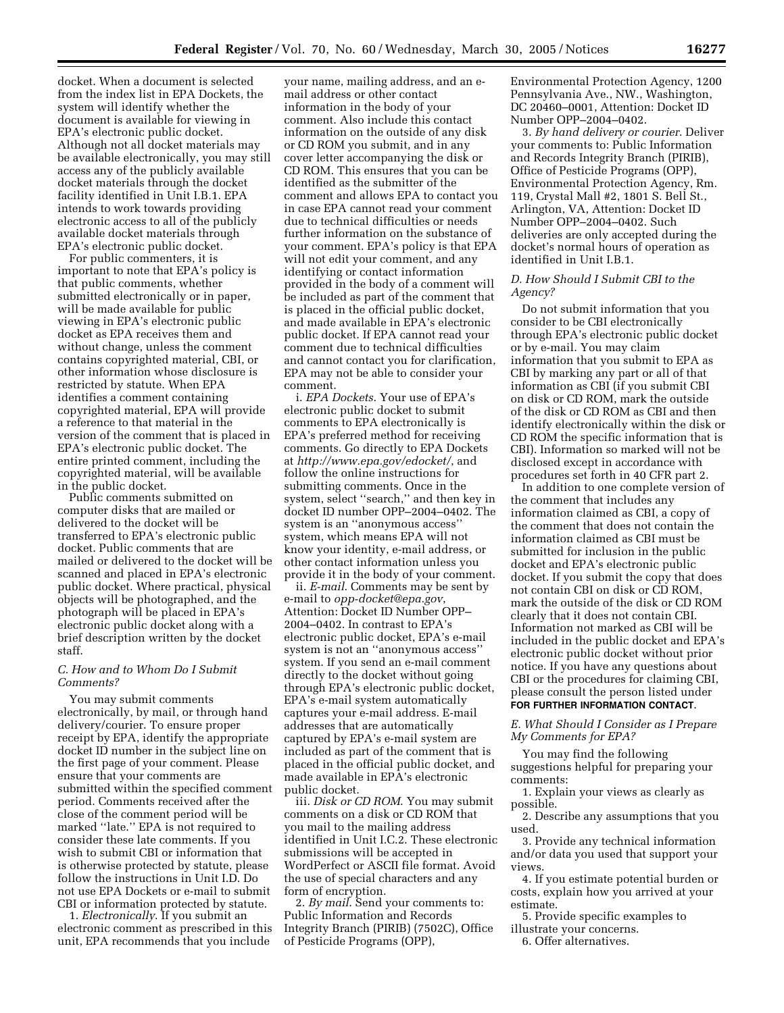docket. When a document is selected from the index list in EPA Dockets, the system will identify whether the document is available for viewing in EPA's electronic public docket. Although not all docket materials may be available electronically, you may still access any of the publicly available docket materials through the docket facility identified in Unit I.B.1. EPA intends to work towards providing electronic access to all of the publicly available docket materials through EPA's electronic public docket.

For public commenters, it is important to note that EPA's policy is that public comments, whether submitted electronically or in paper, will be made available for public viewing in EPA's electronic public docket as EPA receives them and without change, unless the comment contains copyrighted material, CBI, or other information whose disclosure is restricted by statute. When EPA identifies a comment containing copyrighted material, EPA will provide a reference to that material in the version of the comment that is placed in EPA's electronic public docket. The entire printed comment, including the copyrighted material, will be available in the public docket.

Public comments submitted on computer disks that are mailed or delivered to the docket will be transferred to EPA's electronic public docket. Public comments that are mailed or delivered to the docket will be scanned and placed in EPA's electronic public docket. Where practical, physical objects will be photographed, and the photograph will be placed in EPA's electronic public docket along with a brief description written by the docket staff.

### *C. How and to Whom Do I Submit Comments?*

You may submit comments electronically, by mail, or through hand delivery/courier. To ensure proper receipt by EPA, identify the appropriate docket ID number in the subject line on the first page of your comment. Please ensure that your comments are submitted within the specified comment period. Comments received after the close of the comment period will be marked ''late.'' EPA is not required to consider these late comments. If you wish to submit CBI or information that is otherwise protected by statute, please follow the instructions in Unit I.D. Do not use EPA Dockets or e-mail to submit CBI or information protected by statute.

1. *Electronically*. If you submit an electronic comment as prescribed in this unit, EPA recommends that you include

your name, mailing address, and an email address or other contact information in the body of your comment. Also include this contact information on the outside of any disk or CD ROM you submit, and in any cover letter accompanying the disk or CD ROM. This ensures that you can be identified as the submitter of the comment and allows EPA to contact you in case EPA cannot read your comment due to technical difficulties or needs further information on the substance of your comment. EPA's policy is that EPA will not edit your comment, and any identifying or contact information provided in the body of a comment will be included as part of the comment that is placed in the official public docket, and made available in EPA's electronic public docket. If EPA cannot read your comment due to technical difficulties and cannot contact you for clarification, EPA may not be able to consider your comment.

i. *EPA Dockets*. Your use of EPA's electronic public docket to submit comments to EPA electronically is EPA's preferred method for receiving comments. Go directly to EPA Dockets at *http://www.epa.gov/edocket/*, and follow the online instructions for submitting comments. Once in the system, select ''search,'' and then key in docket ID number OPP–2004–0402. The system is an ''anonymous access'' system, which means EPA will not know your identity, e-mail address, or other contact information unless you provide it in the body of your comment.

ii. *E-mail*. Comments may be sent by e-mail to *opp-docket@epa.gov*, Attention: Docket ID Number OPP– 2004–0402. In contrast to EPA's electronic public docket, EPA's e-mail system is not an ''anonymous access'' system. If you send an e-mail comment directly to the docket without going through EPA's electronic public docket, EPA's e-mail system automatically captures your e-mail address. E-mail addresses that are automatically captured by EPA's e-mail system are included as part of the comment that is placed in the official public docket, and made available in EPA's electronic public docket.

iii. *Disk or CD ROM*. You may submit comments on a disk or CD ROM that you mail to the mailing address identified in Unit I.C.2. These electronic submissions will be accepted in WordPerfect or ASCII file format. Avoid the use of special characters and any form of encryption.

2. *By mail*. Send your comments to: Public Information and Records Integrity Branch (PIRIB) (7502C), Office of Pesticide Programs (OPP),

Environmental Protection Agency, 1200 Pennsylvania Ave., NW., Washington, DC 20460–0001, Attention: Docket ID Number OPP–2004–0402.

3. *By hand delivery or courier*. Deliver your comments to: Public Information and Records Integrity Branch (PIRIB), Office of Pesticide Programs (OPP), Environmental Protection Agency, Rm. 119, Crystal Mall #2, 1801 S. Bell St., Arlington, VA, Attention: Docket ID Number OPP–2004–0402. Such deliveries are only accepted during the docket's normal hours of operation as identified in Unit I.B.1.

# *D. How Should I Submit CBI to the Agency?*

Do not submit information that you consider to be CBI electronically through EPA's electronic public docket or by e-mail. You may claim information that you submit to EPA as CBI by marking any part or all of that information as CBI (if you submit CBI on disk or CD ROM, mark the outside of the disk or CD ROM as CBI and then identify electronically within the disk or CD ROM the specific information that is CBI). Information so marked will not be disclosed except in accordance with procedures set forth in 40 CFR part 2.

In addition to one complete version of the comment that includes any information claimed as CBI, a copy of the comment that does not contain the information claimed as CBI must be submitted for inclusion in the public docket and EPA's electronic public docket. If you submit the copy that does not contain CBI on disk or CD ROM, mark the outside of the disk or CD ROM clearly that it does not contain CBI. Information not marked as CBI will be included in the public docket and EPA's electronic public docket without prior notice. If you have any questions about CBI or the procedures for claiming CBI, please consult the person listed under **FOR FURTHER INFORMATION CONTACT**.

*E. What Should I Consider as I Prepare My Comments for EPA?*

You may find the following suggestions helpful for preparing your comments:

1. Explain your views as clearly as possible.

2. Describe any assumptions that you used.

3. Provide any technical information and/or data you used that support your views.

4. If you estimate potential burden or costs, explain how you arrived at your estimate.

5. Provide specific examples to illustrate your concerns.

6. Offer alternatives.